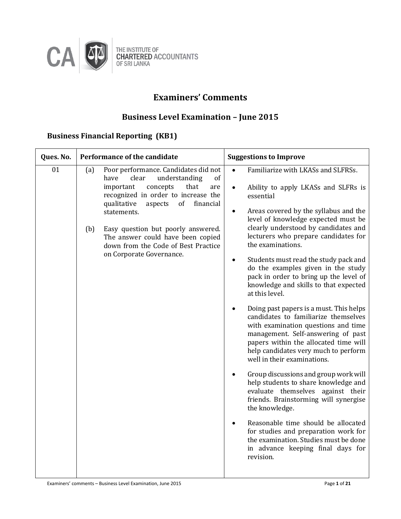

# **Examiners' Comments**

# **Business Level Examination – June 2015**

## **Business Financial Reporting (KB1)**

| Ques. No. | Performance of the candidate                                                                                                                                                                                                                                                                                                                                                        | <b>Suggestions to Improve</b>                                                                                                                                                                                                                                                                                                                                                                                                                                                                                                                                                                                                                                                                                                                                                                                                                                                                                                                                                                                                                                                                                                                     |
|-----------|-------------------------------------------------------------------------------------------------------------------------------------------------------------------------------------------------------------------------------------------------------------------------------------------------------------------------------------------------------------------------------------|---------------------------------------------------------------------------------------------------------------------------------------------------------------------------------------------------------------------------------------------------------------------------------------------------------------------------------------------------------------------------------------------------------------------------------------------------------------------------------------------------------------------------------------------------------------------------------------------------------------------------------------------------------------------------------------------------------------------------------------------------------------------------------------------------------------------------------------------------------------------------------------------------------------------------------------------------------------------------------------------------------------------------------------------------------------------------------------------------------------------------------------------------|
| 01        | Poor performance. Candidates did not<br>(a)<br>have<br>clear<br>understanding<br>of<br>important<br>concepts<br>that<br>are<br>recognized in order to increase the<br>qualitative<br>of<br>financial<br>aspects<br>statements.<br>Easy question but poorly answered.<br>(b)<br>The answer could have been copied<br>down from the Code of Best Practice<br>on Corporate Governance. | Familiarize with LKASs and SLFRSs.<br>$\bullet$<br>Ability to apply LKASs and SLFRs is<br>$\bullet$<br>essential<br>Areas covered by the syllabus and the<br>level of knowledge expected must be<br>clearly understood by candidates and<br>lecturers who prepare candidates for<br>the examinations.<br>Students must read the study pack and<br>$\bullet$<br>do the examples given in the study<br>pack in order to bring up the level of<br>knowledge and skills to that expected<br>at this level.<br>Doing past papers is a must. This helps<br>candidates to familiarize themselves<br>with examination questions and time<br>management. Self-answering of past<br>papers within the allocated time will<br>help candidates very much to perform<br>well in their examinations.<br>Group discussions and group work will<br>help students to share knowledge and<br>evaluate themselves against their<br>friends. Brainstorming will synergise<br>the knowledge.<br>Reasonable time should be allocated<br>for studies and preparation work for<br>the examination. Studies must be done<br>in advance keeping final days for<br>revision. |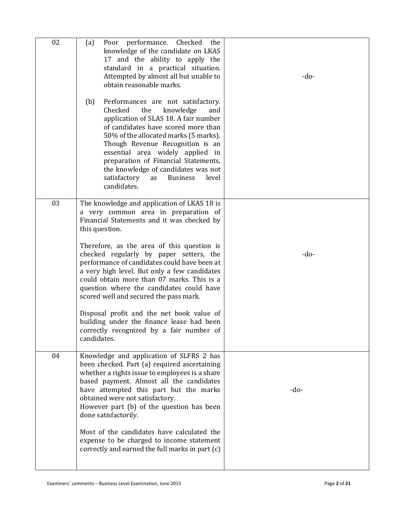| 02 | Poor performance. Checked<br>(a)<br>the<br>knowledge of the candidate on LKAS<br>17 and the ability to apply the<br>standard in a practical situation.<br>Attempted by almost all but unable to<br>obtain reasonable marks.<br>Performances are not satisfactory.<br>(b)<br>knowledge<br>Checked<br>the<br>and<br>application of SLAS 18. A fair number<br>of candidates have scored more than<br>50% of the allocated marks (5 marks).<br>Though Revenue Recognition is an<br>essential area widely applied in<br>preparation of Financial Statements,<br>the knowledge of candidates was not<br>satisfactory<br><b>Business</b><br>level<br>as<br>candidates. | -do-   |
|----|-----------------------------------------------------------------------------------------------------------------------------------------------------------------------------------------------------------------------------------------------------------------------------------------------------------------------------------------------------------------------------------------------------------------------------------------------------------------------------------------------------------------------------------------------------------------------------------------------------------------------------------------------------------------|--------|
| 03 | The knowledge and application of LKAS 18 is<br>a very common area in preparation of<br>Financial Statements and it was checked by<br>this question.<br>Therefore, as the area of this question is<br>checked regularly by paper setters, the<br>performance of candidates could have been at<br>a very high level. But only a few candidates<br>could obtain more than 07 marks. This is a<br>question where the candidates could have<br>scored well and secured the pass mark.<br>Disposal profit and the net book value of<br>building under the finance lease had been<br>correctly recognized by a fair number of<br>candidates.                           | $-do-$ |
| 04 | Knowledge and application of SLFRS 2 has<br>been checked. Part (a) required ascertaining<br>whether a rights issue to employees is a share<br>based payment. Almost all the candidates<br>have attempted this part but the marks<br>obtained were not satisfactory.<br>However part (b) of the question has been<br>done satisfactorily.<br>Most of the candidates have calculated the<br>expense to be charged to income statement<br>correctly and earned the full marks in part (c)                                                                                                                                                                          | -do-   |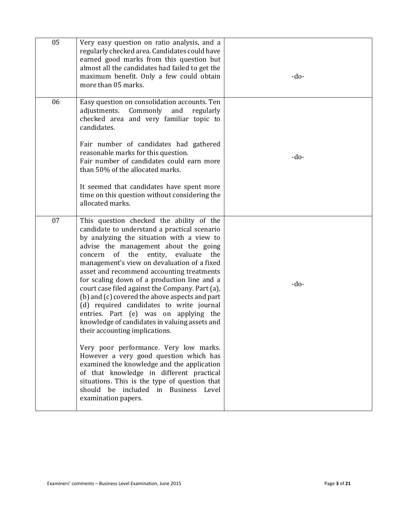| 05 | Very easy question on ratio analysis, and a<br>regularly checked area. Candidates could have<br>earned good marks from this question but<br>almost all the candidates had failed to get the<br>maximum benefit. Only a few could obtain<br>more than 05 marks.                                                                                                                                                                                                                                                                                                                                                                                      | $-do-$ |
|----|-----------------------------------------------------------------------------------------------------------------------------------------------------------------------------------------------------------------------------------------------------------------------------------------------------------------------------------------------------------------------------------------------------------------------------------------------------------------------------------------------------------------------------------------------------------------------------------------------------------------------------------------------------|--------|
| 06 | Easy question on consolidation accounts. Ten<br>adjustments. Commonly and<br>regularly<br>checked area and very familiar topic to<br>candidates.                                                                                                                                                                                                                                                                                                                                                                                                                                                                                                    |        |
|    | Fair number of candidates had gathered<br>reasonable marks for this question.<br>Fair number of candidates could earn more<br>than 50% of the allocated marks.                                                                                                                                                                                                                                                                                                                                                                                                                                                                                      | $-do-$ |
|    | It seemed that candidates have spent more<br>time on this question without considering the<br>allocated marks.                                                                                                                                                                                                                                                                                                                                                                                                                                                                                                                                      |        |
| 07 | This question checked the ability of the<br>candidate to understand a practical scenario<br>by analyzing the situation with a view to<br>advise the management about the going<br>concern of the<br>entity, evaluate<br>the<br>management's view on devaluation of a fixed<br>asset and recommend accounting treatments<br>for scaling down of a production line and a<br>court case filed against the Company. Part (a),<br>(b) and (c) covered the above aspects and part<br>(d) required candidates to write journal<br>entries. Part (e) was on applying the<br>knowledge of candidates in valuing assets and<br>their accounting implications. | -do-   |
|    | Very poor performance. Very low marks.<br>However a very good question which has<br>examined the knowledge and the application<br>of that knowledge in different practical<br>situations. This is the type of question that<br>should be included in Business Level<br>examination papers.                                                                                                                                                                                                                                                                                                                                                          |        |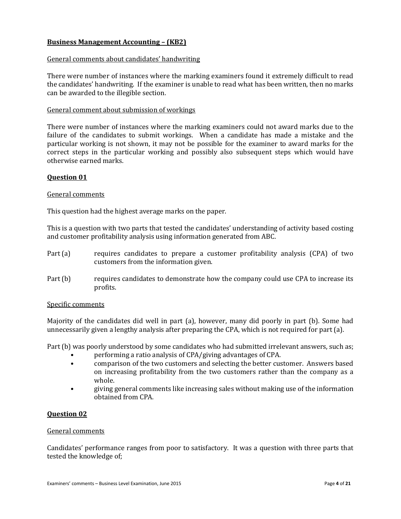## **Business Management Accounting – (KB2)**

## General comments about candidates' handwriting

There were number of instances where the marking examiners found it extremely difficult to read the candidates' handwriting. If the examiner is unable to read what has been written, then no marks can be awarded to the illegible section.

## General comment about submission of workings

There were number of instances where the marking examiners could not award marks due to the failure of the candidates to submit workings. When a candidate has made a mistake and the particular working is not shown, it may not be possible for the examiner to award marks for the correct steps in the particular working and possibly also subsequent steps which would have otherwise earned marks.

## **Question 01**

## General comments

This question had the highest average marks on the paper.

This is a question with two parts that tested the candidates' understanding of activity based costing and customer profitability analysis using information generated from ABC.

- Part (a) requires candidates to prepare a customer profitability analysis (CPA) of two customers from the information given.
- Part (b) requires candidates to demonstrate how the company could use CPA to increase its profits.

#### Specific comments

Majority of the candidates did well in part (a), however, many did poorly in part (b). Some had unnecessarily given a lengthy analysis after preparing the CPA, which is not required for part (a).

Part (b) was poorly understood by some candidates who had submitted irrelevant answers, such as;

- performing a ratio analysis of CPA/giving advantages of CPA.
- comparison of the two customers and selecting the better customer. Answers based on increasing profitability from the two customers rather than the company as a whole.
- giving general comments like increasing sales without making use of the information obtained from CPA.

#### **Question 02**

#### General comments

Candidates' performance ranges from poor to satisfactory. It was a question with three parts that tested the knowledge of;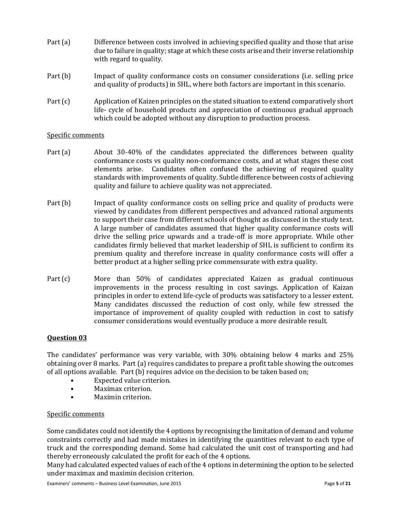- Part (a) Difference between costs involved in achieving specified quality and those that arise due to failure in quality; stage at which these costs arise and their inverse relationship with regard to quality.
- Part (b) Impact of quality conformance costs on consumer considerations (i.e. selling price and quality of products) in SHL, where both factors are important in this scenario.
- Part (c) Application of Kaizen principles on the stated situation to extend comparatively short life- cycle of household products and appreciation of continuous gradual approach which could be adopted without any disruption to production process.

## Specific comments

- Part (a) About 30-40% of the candidates appreciated the differences between quality conformance costs vs quality non-conformance costs, and at what stages these cost elements arise. Candidates often confused the achieving of required quality standards with improvements of quality. Subtle difference between costs of achieving quality and failure to achieve quality was not appreciated.
- Part (b) Impact of quality conformance costs on selling price and quality of products were viewed by candidates from different perspectives and advanced rational arguments to support their case from different schools of thought as discussed in the study text. A large number of candidates assumed that higher quality conformance costs will drive the selling price upwards and a trade-off is more appropriate. While other candidates firmly believed that market leadership of SHL is sufficient to confirm its premium quality and therefore increase in quality conformance costs will offer a better product at a higher selling price commensurate with extra quality.
- Part (c) More than 50% of candidates appreciated Kaizen as gradual continuous improvements in the process resulting in cost savings. Application of Kaizan principles in order to extend life-cycle of products was satisfactory to a lesser extent. Many candidates discussed the reduction of cost only, while few stressed the importance of improvement of quality coupled with reduction in cost to satisfy consumer considerations would eventually produce a more desirable result.

## **Question 03**

The candidates' performance was very variable, with 30% obtaining below 4 marks and 25% obtaining over 8 marks. Part (a) requires candidates to prepare a profit table showing the outcomes of all options available. Part (b) requires advice on the decision to be taken based on;

- Expected value criterion.
- Maximax criterion.
- Maximin criterion.

## Specific comments

Some candidates could not identify the 4 options by recognising the limitation of demand and volume constraints correctly and had made mistakes in identifying the quantities relevant to each type of truck and the corresponding demand. Some had calculated the unit cost of transporting and had thereby erroneously calculated the profit for each of the 4 options.

Many had calculated expected values of each of the 4 options in determining the option to be selected under maximax and maximin decision criterion.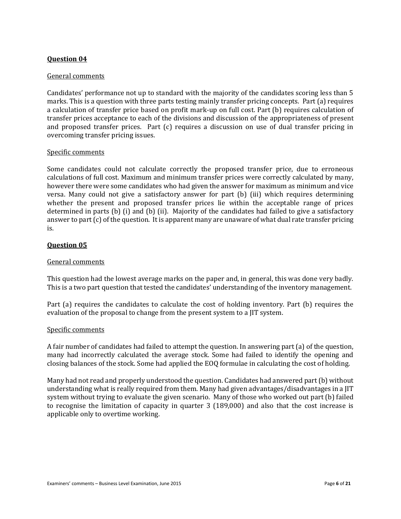## General comments

Candidates' performance not up to standard with the majority of the candidates scoring less than 5 marks. This is a question with three parts testing mainly transfer pricing concepts. Part (a) requires a calculation of transfer price based on profit mark-up on full cost. Part (b) requires calculation of transfer prices acceptance to each of the divisions and discussion of the appropriateness of present and proposed transfer prices. Part (c) requires a discussion on use of dual transfer pricing in overcoming transfer pricing issues.

## Specific comments

Some candidates could not calculate correctly the proposed transfer price, due to erroneous calculations of full cost. Maximum and minimum transfer prices were correctly calculated by many, however there were some candidates who had given the answer for maximum as minimum and vice versa. Many could not give a satisfactory answer for part (b) (iii) which requires determining whether the present and proposed transfer prices lie within the acceptable range of prices determined in parts (b) (i) and (b) (ii). Majority of the candidates had failed to give a satisfactory answer to part (c) of the question. It is apparent many are unaware of what dual rate transfer pricing is.

## **Question 05**

## General comments

This question had the lowest average marks on the paper and, in general, this was done very badly. This is a two part question that tested the candidates' understanding of the inventory management.

Part (a) requires the candidates to calculate the cost of holding inventory. Part (b) requires the evaluation of the proposal to change from the present system to a JIT system.

## Specific comments

A fair number of candidates had failed to attempt the question. In answering part (a) of the question, many had incorrectly calculated the average stock. Some had failed to identify the opening and closing balances of the stock. Some had applied the EOQ formulae in calculating the cost of holding.

Many had not read and properly understood the question. Candidates had answered part (b) without understanding what is really required from them. Many had given advantages/disadvantages in a JIT system without trying to evaluate the given scenario. Many of those who worked out part (b) failed to recognise the limitation of capacity in quarter 3 (189,000) and also that the cost increase is applicable only to overtime working.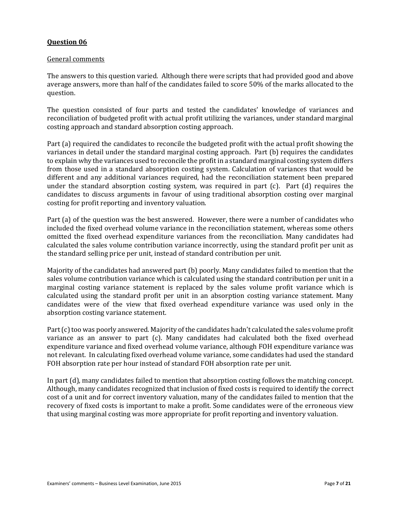## General comments

The answers to this question varied. Although there were scripts that had provided good and above average answers, more than half of the candidates failed to score 50% of the marks allocated to the question.

The question consisted of four parts and tested the candidates' knowledge of variances and reconciliation of budgeted profit with actual profit utilizing the variances, under standard marginal costing approach and standard absorption costing approach.

Part (a) required the candidates to reconcile the budgeted profit with the actual profit showing the variances in detail under the standard marginal costing approach. Part (b) requires the candidates to explain why the variances used to reconcile the profit in a standard marginal costing system differs from those used in a standard absorption costing system. Calculation of variances that would be different and any additional variances required, had the reconciliation statement been prepared under the standard absorption costing system, was required in part (c). Part (d) requires the candidates to discuss arguments in favour of using traditional absorption costing over marginal costing for profit reporting and inventory valuation.

Part (a) of the question was the best answered. However, there were a number of candidates who included the fixed overhead volume variance in the reconciliation statement, whereas some others omitted the fixed overhead expenditure variances from the reconciliation. Many candidates had calculated the sales volume contribution variance incorrectly, using the standard profit per unit as the standard selling price per unit, instead of standard contribution per unit.

Majority of the candidates had answered part (b) poorly. Many candidates failed to mention that the sales volume contribution variance which is calculated using the standard contribution per unit in a marginal costing variance statement is replaced by the sales volume profit variance which is calculated using the standard profit per unit in an absorption costing variance statement. Many candidates were of the view that fixed overhead expenditure variance was used only in the absorption costing variance statement.

Part (c) too was poorly answered. Majority of the candidates hadn't calculated the sales volume profit variance as an answer to part (c). Many candidates had calculated both the fixed overhead expenditure variance and fixed overhead volume variance, although FOH expenditure variance was not relevant. In calculating fixed overhead volume variance, some candidates had used the standard FOH absorption rate per hour instead of standard FOH absorption rate per unit.

In part (d), many candidates failed to mention that absorption costing follows the matching concept. Although, many candidates recognized that inclusion of fixed costs is required to identify the correct cost of a unit and for correct inventory valuation, many of the candidates failed to mention that the recovery of fixed costs is important to make a profit. Some candidates were of the erroneous view that using marginal costing was more appropriate for profit reporting and inventory valuation.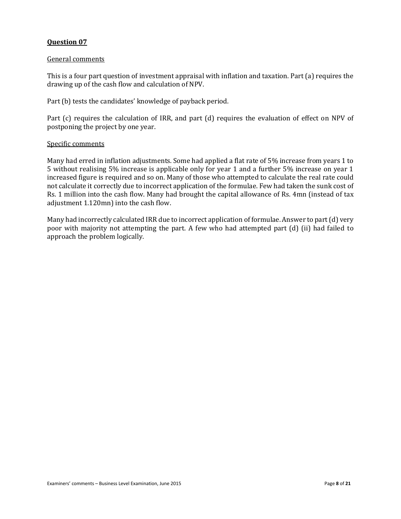## General comments

This is a four part question of investment appraisal with inflation and taxation. Part (a) requires the drawing up of the cash flow and calculation of NPV.

Part (b) tests the candidates' knowledge of payback period.

Part (c) requires the calculation of IRR, and part (d) requires the evaluation of effect on NPV of postponing the project by one year.

## Specific comments

Many had erred in inflation adjustments. Some had applied a flat rate of 5% increase from years 1 to 5 without realising 5% increase is applicable only for year 1 and a further 5% increase on year 1 increased figure is required and so on. Many of those who attempted to calculate the real rate could not calculate it correctly due to incorrect application of the formulae. Few had taken the sunk cost of Rs. 1 million into the cash flow. Many had brought the capital allowance of Rs. 4mn (instead of tax adjustment 1.120mn) into the cash flow.

Many had incorrectly calculated IRR due to incorrect application of formulae. Answer to part (d) very poor with majority not attempting the part. A few who had attempted part (d) (ii) had failed to approach the problem logically.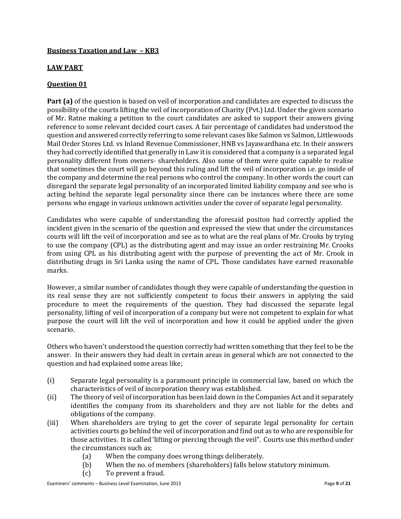## **Business Taxation and Law – KB3**

## **LAW PART**

## **Question 01**

**Part (a)** of the question is based on veil of incorporation and candidates are expected to discuss the possibility of the courts lifting the veil of incorporation of Charity (Pvt.) Ltd. Under the given scenario of Mr. Ratne making a petition to the court candidates are asked to support their answers giving reference to some relevant decided court cases. A fair percentage of candidates had understood the question and answered correctly referring to some relevant cases like Salmon vs Salmon, Littlewoods Mail Order Stores Ltd. vs Inland Revenue Commissioner, HNB vs Jayawardhana etc. In their answers they had correctly identified that generally in Law it is considered that a company is a separated legal personality different from owners- shareholders. Also some of them were quite capable to realise that sometimes the court will go beyond this ruling and lift the veil of incorporation i.e. go inside of the company and determine the real persons who control the company. In other words the court can disregard the separate legal personality of an incorporated limited liability company and see who is acting behind the separate legal personality since there can be instances where there are some persons who engage in various unknown activities under the cover of separate legal personality.

Candidates who were capable of understanding the aforesaid positon had correctly applied the incident given in the scenario of the question and expressed the view that under the circumstances courts will lift the veil of incorporation and see as to what are the real plans of Mr. Crooks by trying to use the company (CPL) as the distributing agent and may issue an order restraining Mr. Crooks from using CPL as his distributing agent with the purpose of preventing the act of Mr. Crook in distributing drugs in Sri Lanka using the name of CPL. Those candidates have earned reasonable marks.

However, a similar number of candidates though they were capable of understanding the question in its real sense they are not sufficiently competent to focus their answers in applying the said procedure to meet the requirements of the question. They had discussed the separate legal personality, lifting of veil of incorporation of a company but were not competent to explain for what purpose the court will lift the veil of incorporation and how it could be applied under the given scenario.

Others who haven't understood the question correctly had written something that they feel to be the answer. In their answers they had dealt in certain areas in general which are not connected to the question and had explained some areas like;

- (i) Separate legal personality is a paramount principle in commercial law, based on which the characteristics of veil of incorporation theory was established.
- (ii) The theory of veil of incorporation has been laid down in the Companies Act and it separately identifies the company from its shareholders and they are not liable for the debts and obligations of the company.
- (iii) When shareholders are trying to get the cover of separate legal personality for certain activities courts go behind the veil of incorporation and find out as to who are responsible for those activities. It is called 'lifting or piercing through the veil". Courts use this method under the circumstances such as;
	- (a) When the company does wrong things deliberately.
	- (b) When the no. of members (shareholders) falls below statutory minimum.
	- (c) To prevent a fraud.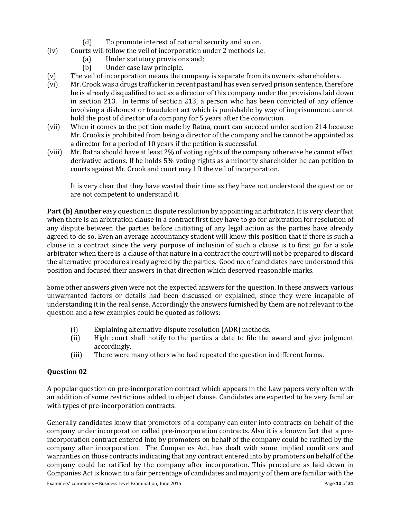- (d) To promote interest of national security and so on.
- (iv) Courts will follow the veil of incorporation under 2 methods i.e.
	- (a) Under statutory provisions and;
	- (b) Under case law principle.
- (v) The veil of incorporation means the company is separate from its owners -shareholders.
- (vi) Mr. Crook was a drugs trafficker in recent past and has even served prison sentence, therefore he is already disqualified to act as a director of this company under the provisions laid down in section 213. In terms of section 213, a person who has been convicted of any offence involving a dishonest or fraudulent act which is punishable by way of imprisonment cannot hold the post of director of a company for 5 years after the conviction.
- (vii) When it comes to the petition made by Ratna, court can succeed under section 214 because Mr. Crooks is prohibited from being a director of the company and he cannot be appointed as a director for a period of 10 years if the petition is successful.
- (viii) Mr. Ratna should have at least 2% of voting rights of the company otherwise he cannot effect derivative actions. If he holds 5% voting rights as a minority shareholder he can petition to courts against Mr. Crook and court may lift the veil of incorporation.

It is very clear that they have wasted their time as they have not understood the question or are not competent to understand it.

**Part (b) Another** easy question in dispute resolution by appointing an arbitrator. It is very clear that when there is an arbitration clause in a contract first they have to go for arbitration for resolution of any dispute between the parties before initiating of any legal action as the parties have already agreed to do so. Even an average accountancy student will know this position that if there is such a clause in a contract since the very purpose of inclusion of such a clause is to first go for a sole arbitrator when there is a clause of that nature in a contract the court will not be prepared to discard the alternative procedure already agreed by the parties. Good no. of candidates have understood this position and focused their answers in that direction which deserved reasonable marks.

Some other answers given were not the expected answers for the question. In these answers various unwarranted factors or details had been discussed or explained, since they were incapable of understanding it in the real sense. Accordingly the answers furnished by them are not relevant to the question and a few examples could be quoted as follows:

- (i) Explaining alternative dispute resolution (ADR) methods.
- (ii) High court shall notify to the parties a date to file the award and give judgment accordingly.
- (iii) There were many others who had repeated the question in different forms.

## **Question 02**

A popular question on pre-incorporation contract which appears in the Law papers very often with an addition of some restrictions added to object clause. Candidates are expected to be very familiar with types of pre-incorporation contracts.

Generally candidates know that promotors of a company can enter into contracts on behalf of the company under incorporation called pre-incorporation contracts. Also it is a known fact that a preincorporation contract entered into by promoters on behalf of the company could be ratified by the company after incorporation. The Companies Act, has dealt with some implied conditions and warranties on those contracts indicating that any contract entered into by promoters on behalf of the company could be ratified by the company after incorporation. This procedure as laid down in Companies Act is known to a fair percentage of candidates and majority of them are familiar with the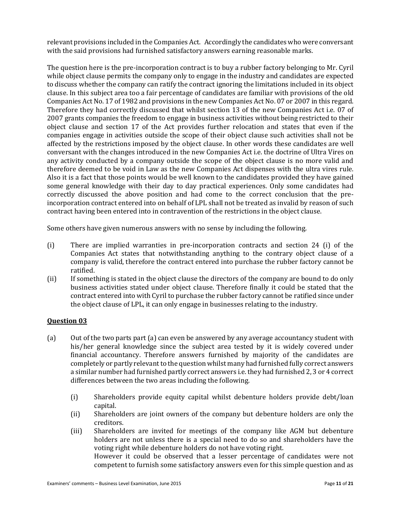relevant provisions included in the Companies Act. Accordingly the candidates who were conversant with the said provisions had furnished satisfactory answers earning reasonable marks.

The question here is the pre-incorporation contract is to buy a rubber factory belonging to Mr. Cyril while object clause permits the company only to engage in the industry and candidates are expected to discuss whether the company can ratify the contract ignoring the limitations included in its object clause. In this subject area too a fair percentage of candidates are familiar with provisions of the old Companies Act No. 17 of 1982 and provisions in the new Companies Act No. 07 or 2007 in this regard. Therefore they had correctly discussed that whilst section 13 of the new Companies Act i.e. 07 of 2007 grants companies the freedom to engage in business activities without being restricted to their object clause and section 17 of the Act provides further relocation and states that even if the companies engage in activities outside the scope of their object clause such activities shall not be affected by the restrictions imposed by the object clause. In other words these candidates are well conversant with the changes introduced in the new Companies Act i.e. the doctrine of Ultra Vires on any activity conducted by a company outside the scope of the object clause is no more valid and therefore deemed to be void in Law as the new Companies Act dispenses with the ultra vires rule. Also it is a fact that those points would be well known to the candidates provided they have gained some general knowledge with their day to day practical experiences. Only some candidates had correctly discussed the above position and had come to the correct conclusion that the preincorporation contract entered into on behalf of LPL shall not be treated as invalid by reason of such contract having been entered into in contravention of the restrictions in the object clause.

Some others have given numerous answers with no sense by including the following.

- (i) There are implied warranties in pre-incorporation contracts and section 24 (i) of the Companies Act states that notwithstanding anything to the contrary object clause of a company is valid, therefore the contract entered into purchase the rubber factory cannot be ratified.
- (ii) If something is stated in the object clause the directors of the company are bound to do only business activities stated under object clause. Therefore finally it could be stated that the contract entered into with Cyril to purchase the rubber factory cannot be ratified since under the object clause of LPL, it can only engage in businesses relating to the industry.

## **Question 03**

- (a) Out of the two parts part (a) can even be answered by any average accountancy student with his/her general knowledge since the subject area tested by it is widely covered under financial accountancy. Therefore answers furnished by majority of the candidates are completely or partly relevant to the question whilst many had furnished fully correct answers a similar number had furnished partly correct answers i.e. they had furnished 2, 3 or 4 correct differences between the two areas including the following.
	- (i) Shareholders provide equity capital whilst debenture holders provide debt/loan capital.
	- (ii) Shareholders are joint owners of the company but debenture holders are only the creditors.
	- (iii) Shareholders are invited for meetings of the company like AGM but debenture holders are not unless there is a special need to do so and shareholders have the voting right while debenture holders do not have voting right. However it could be observed that a lesser percentage of candidates were not competent to furnish some satisfactory answers even for this simple question and as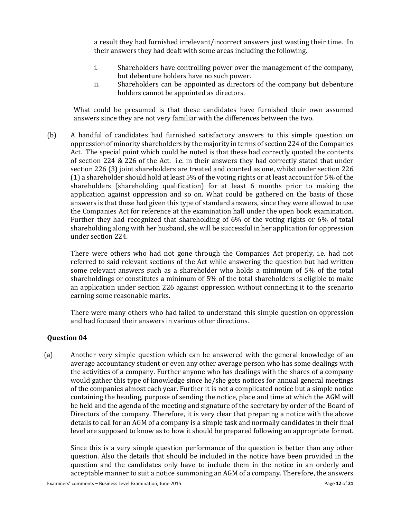a result they had furnished irrelevant/incorrect answers just wasting their time. In their answers they had dealt with some areas including the following.

- i. Shareholders have controlling power over the management of the company, but debenture holders have no such power.
- ii. Shareholders can be appointed as directors of the company but debenture holders cannot be appointed as directors.

What could be presumed is that these candidates have furnished their own assumed answers since they are not very familiar with the differences between the two.

(b) A handful of candidates had furnished satisfactory answers to this simple question on oppression of minority shareholders by the majority in terms of section 224 of the Companies Act. The special point which could be noted is that these had correctly quoted the contents of section 224 & 226 of the Act. i.e. in their answers they had correctly stated that under section 226 (3) joint shareholders are treated and counted as one, whilst under section 226 (1) a shareholder should hold at least 5% of the voting rights or at least account for 5% of the shareholders (shareholding qualification) for at least 6 months prior to making the application against oppression and so on. What could be gathered on the basis of those answers is that these had given this type of standard answers, since they were allowed to use the Companies Act for reference at the examination hall under the open book examination. Further they had recognized that shareholding of 6% of the voting rights or 6% of total shareholding along with her husband, she will be successful in her application for oppression under section 224.

There were others who had not gone through the Companies Act properly, i.e. had not referred to said relevant sections of the Act while answering the question but had written some relevant answers such as a shareholder who holds a minimum of 5% of the total shareholdings or constitutes a minimum of 5% of the total shareholders is eligible to make an application under section 226 against oppression without connecting it to the scenario earning some reasonable marks.

There were many others who had failed to understand this simple question on oppression and had focused their answers in various other directions.

#### **Question 04**

(a) Another very simple question which can be answered with the general knowledge of an average accountancy student or even any other average person who has some dealings with the activities of a company. Further anyone who has dealings with the shares of a company would gather this type of knowledge since he/she gets notices for annual general meetings of the companies almost each year. Further it is not a complicated notice but a simple notice containing the heading, purpose of sending the notice, place and time at which the AGM will be held and the agenda of the meeting and signature of the secretary by order of the Board of Directors of the company. Therefore, it is very clear that preparing a notice with the above details to call for an AGM of a company is a simple task and normally candidates in their final level are supposed to know as to how it should be prepared following an appropriate format.

Since this is a very simple question performance of the question is better than any other question. Also the details that should be included in the notice have been provided in the question and the candidates only have to include them in the notice in an orderly and acceptable manner to suit a notice summoning an AGM of a company. Therefore, the answers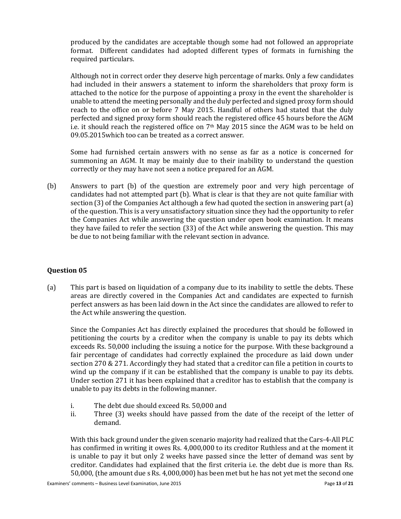produced by the candidates are acceptable though some had not followed an appropriate format. Different candidates had adopted different types of formats in furnishing the required particulars.

Although not in correct order they deserve high percentage of marks. Only a few candidates had included in their answers a statement to inform the shareholders that proxy form is attached to the notice for the purpose of appointing a proxy in the event the shareholder is unable to attend the meeting personally and the duly perfected and signed proxy form should reach to the office on or before 7 May 2015. Handful of others had stated that the duly perfected and signed proxy form should reach the registered office 45 hours before the AGM i.e. it should reach the registered office on 7th May 2015 since the AGM was to be held on 09.05.2015which too can be treated as a correct answer.

Some had furnished certain answers with no sense as far as a notice is concerned for summoning an AGM. It may be mainly due to their inability to understand the question correctly or they may have not seen a notice prepared for an AGM.

(b) Answers to part (b) of the question are extremely poor and very high percentage of candidates had not attempted part (b). What is clear is that they are not quite familiar with section (3) of the Companies Act although a few had quoted the section in answering part (a) of the question. This is a very unsatisfactory situation since they had the opportunity to refer the Companies Act while answering the question under open book examination. It means they have failed to refer the section (33) of the Act while answering the question. This may be due to not being familiar with the relevant section in advance.

## **Question 05**

(a) This part is based on liquidation of a company due to its inability to settle the debts. These areas are directly covered in the Companies Act and candidates are expected to furnish perfect answers as has been laid down in the Act since the candidates are allowed to refer to the Act while answering the question.

Since the Companies Act has directly explained the procedures that should be followed in petitioning the courts by a creditor when the company is unable to pay its debts which exceeds Rs. 50,000 including the issuing a notice for the purpose. With these background a fair percentage of candidates had correctly explained the procedure as laid down under section 270 & 271. Accordingly they had stated that a creditor can file a petition in courts to wind up the company if it can be established that the company is unable to pay its debts. Under section 271 it has been explained that a creditor has to establish that the company is unable to pay its debts in the following manner.

- i. The debt due should exceed Rs. 50,000 and
- ii. Three (3) weeks should have passed from the date of the receipt of the letter of demand.

With this back ground under the given scenario majority had realized that the Cars-4-All PLC has confirmed in writing it owes Rs. 4,000,000 to its creditor Ruthless and at the moment it is unable to pay it but only 2 weeks have passed since the letter of demand was sent by creditor. Candidates had explained that the first criteria i.e. the debt due is more than Rs. 50,000, (the amount due s Rs. 4,000,000) has been met but he has not yet met the second one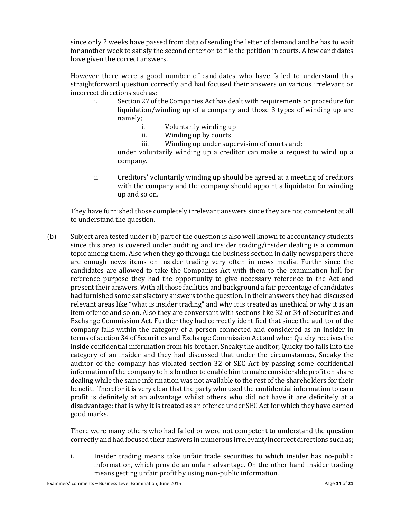since only 2 weeks have passed from data of sending the letter of demand and he has to wait for another week to satisfy the second criterion to file the petition in courts. A few candidates have given the correct answers.

However there were a good number of candidates who have failed to understand this straightforward question correctly and had focused their answers on various irrelevant or incorrect directions such as;

- i. Section 27 of the Companies Act has dealt with requirements or procedure for liquidation/winding up of a company and those 3 types of winding up are namely;
	- i. Voluntarily winding up
	- ii. Winding up by courts
	- iii. Winding up under supervision of courts and; under voluntarily winding up a creditor can make a request to wind up a company.
- ii Creditors' voluntarily winding up should be agreed at a meeting of creditors with the company and the company should appoint a liquidator for winding up and so on.

They have furnished those completely irrelevant answers since they are not competent at all to understand the question.

(b) Subject area tested under (b) part of the question is also well known to accountancy students since this area is covered under auditing and insider trading/insider dealing is a common topic among them. Also when they go through the business section in daily newspapers there are enough news items on insider trading very often in news media. Furthr since the candidates are allowed to take the Companies Act with them to the examination hall for reference purpose they had the opportunity to give necessary reference to the Act and present their answers. With all those facilities and background a fair percentage of candidates had furnished some satisfactory answers to the question. In their answers they had discussed relevant areas like "what is insider trading" and why it is treated as unethical or why it is an item offence and so on. Also they are conversant with sections like 32 or 34 of Securities and Exchange Commission Act. Further they had correctly identified that since the auditor of the company falls within the category of a person connected and considered as an insider in terms of section 34 of Securities and Exchange Commission Act and when Quicky receives the inside confidential information from his brother, Sneaky the auditor, Quicky too falls into the category of an insider and they had discussed that under the circumstances, Sneaky the auditor of the company has violated section 32 of SEC Act by passing some confidential information of the company to his brother to enable him to make considerable profit on share dealing while the same information was not available to the rest of the shareholders for their benefit. Therefor it is very clear that the party who used the confidential information to earn profit is definitely at an advantage whilst others who did not have it are definitely at a disadvantage; that is why it is treated as an offence under SEC Act for which they have earned good marks.

There were many others who had failed or were not competent to understand the question correctly and had focused their answers in numerous irrelevant/incorrect directions such as;

i. Insider trading means take unfair trade securities to which insider has no-public information, which provide an unfair advantage. On the other hand insider trading means getting unfair profit by using non-public information.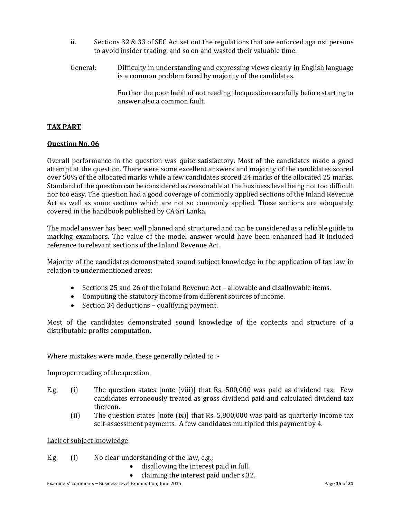- ii. Sections 32 & 33 of SEC Act set out the regulations that are enforced against persons to avoid insider trading, and so on and wasted their valuable time.
- General: Difficulty in understanding and expressing views clearly in English language is a common problem faced by majority of the candidates.

Further the poor habit of not reading the question carefully before starting to answer also a common fault.

## **TAX PART**

## **Question No. 06**

Overall performance in the question was quite satisfactory. Most of the candidates made a good attempt at the question. There were some excellent answers and majority of the candidates scored over 50% of the allocated marks while a few candidates scored 24 marks of the allocated 25 marks. Standard of the question can be considered as reasonable at the business level being not too difficult nor too easy. The question had a good coverage of commonly applied sections of the Inland Revenue Act as well as some sections which are not so commonly applied. These sections are adequately covered in the handbook published by CA Sri Lanka.

The model answer has been well planned and structured and can be considered as a reliable guide to marking examiners. The value of the model answer would have been enhanced had it included reference to relevant sections of the Inland Revenue Act.

Majority of the candidates demonstrated sound subject knowledge in the application of tax law in relation to undermentioned areas:

- Sections 25 and 26 of the Inland Revenue Act allowable and disallowable items.
- Computing the statutory income from different sources of income.
- Section 34 deductions qualifying payment.

Most of the candidates demonstrated sound knowledge of the contents and structure of a distributable profits computation.

Where mistakes were made, these generally related to :-

#### Improper reading of the question

- E.g. (i) The question states [note (viii)] that Rs. 500,000 was paid as dividend tax. Few candidates erroneously treated as gross dividend paid and calculated dividend tax thereon.
	- (ii) The question states [note (ix)] that Rs. 5,800,000 was paid as quarterly income tax self-assessment payments. A few candidates multiplied this payment by 4.

Lack of subject knowledge

## E.g. (i) No clear understanding of the law, e.g.;

- disallowing the interest paid in full.
- claiming the interest paid under s.32.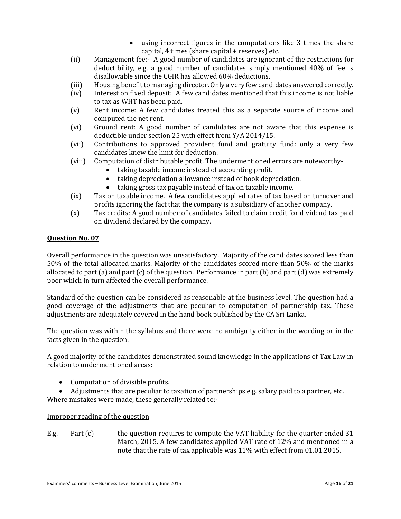- using incorrect figures in the computations like 3 times the share capital, 4 times (share capital + reserves) etc.
- (ii) Management fee:- A good number of candidates are ignorant of the restrictions for deductibility, e.g, a good number of candidates simply mentioned 40% of fee is disallowable since the CGIR has allowed 60% deductions.
- (iii) Housing benefit to managing director. Only a very few candidates answered correctly.
- (iv) Interest on fixed deposit: A few candidates mentioned that this income is not liable to tax as WHT has been paid.
- (v) Rent income: A few candidates treated this as a separate source of income and computed the net rent.
- (vi) Ground rent: A good number of candidates are not aware that this expense is deductible under section 25 with effect from Y/A 2014/15.
- (vii) Contributions to approved provident fund and gratuity fund: only a very few candidates knew the limit for deduction.
- (viii) Computation of distributable profit. The undermentioned errors are noteworthy
	- taking taxable income instead of accounting profit.
	- taking depreciation allowance instead of book depreciation.
	- taking gross tax payable instead of tax on taxable income.
- (ix) Tax on taxable income. A few candidates applied rates of tax based on turnover and profits ignoring the fact that the company is a subsidiary of another company.
- (x) Tax credits: A good number of candidates failed to claim credit for dividend tax paid on dividend declared by the company.

## **Question No. 07**

Overall performance in the question was unsatisfactory. Majority of the candidates scored less than 50% of the total allocated marks. Majority of the candidates scored more than 50% of the marks allocated to part (a) and part (c) of the question. Performance in part (b) and part (d) was extremely poor which in turn affected the overall performance.

Standard of the question can be considered as reasonable at the business level. The question had a good coverage of the adjustments that are peculiar to computation of partnership tax. These adjustments are adequately covered in the hand book published by the CA Sri Lanka.

The question was within the syllabus and there were no ambiguity either in the wording or in the facts given in the question.

A good majority of the candidates demonstrated sound knowledge in the applications of Tax Law in relation to undermentioned areas:

- Computation of divisible profits.
- Adjustments that are peculiar to taxation of partnerships e.g. salary paid to a partner, etc. Where mistakes were made, these generally related to:-

## Improper reading of the question

E.g. Part (c) the question requires to compute the VAT liability for the quarter ended 31 March, 2015. A few candidates applied VAT rate of 12% and mentioned in a note that the rate of tax applicable was 11% with effect from 01.01.2015.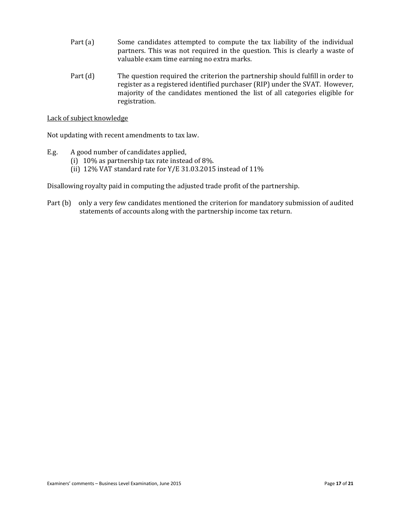- Part (a) Some candidates attempted to compute the tax liability of the individual partners. This was not required in the question. This is clearly a waste of valuable exam time earning no extra marks.
- Part (d) The question required the criterion the partnership should fulfill in order to register as a registered identified purchaser (RIP) under the SVAT. However, majority of the candidates mentioned the list of all categories eligible for registration.

Lack of subject knowledge

Not updating with recent amendments to tax law.

- E.g. A good number of candidates applied,
	- (i) 10% as partnership tax rate instead of 8%.
	- (ii) 12% VAT standard rate for Y/E 31.03.2015 instead of 11%

Disallowing royalty paid in computing the adjusted trade profit of the partnership.

Part (b) only a very few candidates mentioned the criterion for mandatory submission of audited statements of accounts along with the partnership income tax return.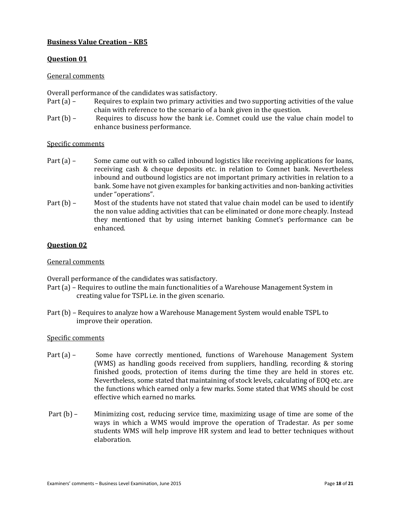## **Business Value Creation – KB5**

## **Question 01**

## General comments

Overall performance of the candidates was satisfactory.

- Part (a) Requires to explain two primary activities and two supporting activities of the value chain with reference to the scenario of a bank given in the question.
- Part (b) Requires to discuss how the bank i.e. Comnet could use the value chain model to enhance business performance.

## Specific comments

- Part (a) Some came out with so called inbound logistics like receiving applications for loans, receiving cash & cheque deposits etc. in relation to Comnet bank. Nevertheless inbound and outbound logistics are not important primary activities in relation to a bank. Some have not given examples for banking activities and non-banking activities under "operations".
- Part (b) Most of the students have not stated that value chain model can be used to identify the non value adding activities that can be eliminated or done more cheaply. Instead they mentioned that by using internet banking Comnet's performance can be enhanced.

## **Question 02**

#### General comments

Overall performance of the candidates was satisfactory.

- Part (a) Requires to outline the main functionalities of a Warehouse Management System in creating value for TSPL i.e. in the given scenario.
- Part (b) Requires to analyze how a Warehouse Management System would enable TSPL to improve their operation.

## Specific comments

- Part (a) Some have correctly mentioned, functions of Warehouse Management System (WMS) as handling goods received from suppliers, handling, recording & storing finished goods, protection of items during the time they are held in stores etc. Nevertheless, some stated that maintaining of stock levels, calculating of EOQ etc. are the functions which earned only a few marks. Some stated that WMS should be cost effective which earned no marks.
- Part (b) Minimizing cost, reducing service time, maximizing usage of time are some of the ways in which a WMS would improve the operation of Tradestar. As per some students WMS will help improve HR system and lead to better techniques without elaboration.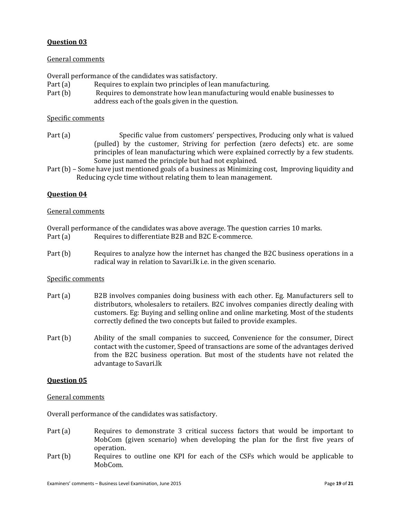## General comments

Overall performance of the candidates was satisfactory.

- Part (a) Requires to explain two principles of lean manufacturing.
- Part (b) Requires to demonstrate how lean manufacturing would enable businesses to address each of the goals given in the question.

## Specific comments

- Part (a) Specific value from customers' perspectives, Producing only what is valued (pulled) by the customer, Striving for perfection (zero defects) etc. are some principles of lean manufacturing which were explained correctly by a few students. Some just named the principle but had not explained.
- Part (b) Some have just mentioned goals of a business as Minimizing cost, Improving liquidity and Reducing cycle time without relating them to lean management.

## **Question 04**

#### General comments

Overall performance of the candidates was above average. The question carries 10 marks. Part (a) Requires to differentiate B2B and B2C E-commerce.

Part (b) Requires to analyze how the internet has changed the B2C business operations in a radical way in relation to Savari.lk i.e. in the given scenario.

#### Specific comments

- Part (a) B2B involves companies doing business with each other. Eg. Manufacturers sell to distributors, wholesalers to retailers. B2C involves companies directly dealing with customers. Eg: Buying and selling online and online marketing. Most of the students correctly defined the two concepts but failed to provide examples.
- Part (b) Ability of the small companies to succeed, Convenience for the consumer, Direct contact with the customer, Speed of transactions are some of the advantages derived from the B2C business operation. But most of the students have not related the advantage to Savari.lk

## **Question 05**

#### General comments

Overall performance of the candidates was satisfactory.

- Part (a) Requires to demonstrate 3 critical success factors that would be important to MobCom (given scenario) when developing the plan for the first five years of operation.
- Part (b) Requires to outline one KPI for each of the CSFs which would be applicable to MobCom.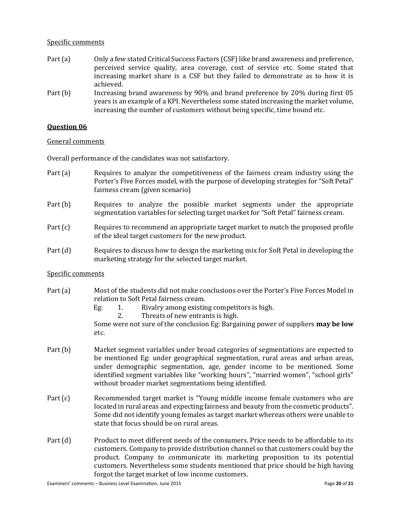#### Specific comments

- Part (a) Only a few stated Critical Success Factors (CSF) like brand awareness and preference, perceived service quality, area coverage, cost of service etc. Some stated that increasing market share is a CSF but they failed to demonstrate as to how it is achieved.
- Part (b) Increasing brand awareness by 90% and brand preference by 20% during first 05 years is an example of a KPI. Nevertheless some stated increasing the market volume, increasing the number of customers without being specific, time bound etc.

## **Question 06**

#### General comments

Overall performance of the candidates was not satisfactory.

- Part (a) Requires to analyze the competitiveness of the fairness cream industry using the Porter's Five Forces model, with the purpose of developing strategies for "Soft Petal" fairness cream (given scenario)
- Part (b) Requires to analyze the possible market segments under the appropriate segmentation variables for selecting target market for "Soft Petal" fairness cream.
- Part (c) Requires to recommend an appropriate target market to match the proposed profile of the ideal target customers for the new product.
- Part (d) Requires to discuss how to design the marketing mix for Soft Petal in developing the marketing strategy for the selected target market.

#### Specific comments

- Part (a) Most of the students did not make conclusions over the Porter's Five Forces Model in relation to Soft Petal fairness cream.
	- Eg: 1. Rivalry among existing competitors is high.
		- 2. Threats of new entrants is high.

 Some were not sure of the conclusion Eg: Bargaining power of suppliers **may be low** etc.

- Part (b) Market segment variables under broad categories of segmentations are expected to be mentioned Eg: under geographical segmentation, rural areas and urban areas, under demographic segmentation, age, gender income to be mentioned. Some identified segment variables like "working hours", "married women", "school girls" without broader market segmentations being identified.
- Part (c) Recommended target market is "Young middle income female customers who are located in rural areas and expecting fairness and beauty from the cosmetic products". Some did not identify young females as target market whereas others were unable to state that focus should be on rural areas.
- Part (d) Product to meet different needs of the consumers. Price needs to be affordable to its customers. Company to provide distribution channel so that customers could buy the product. Company to communicate its marketing proposition to its potential customers. Nevertheless some students mentioned that price should be high having forgot the target market of low income customers.